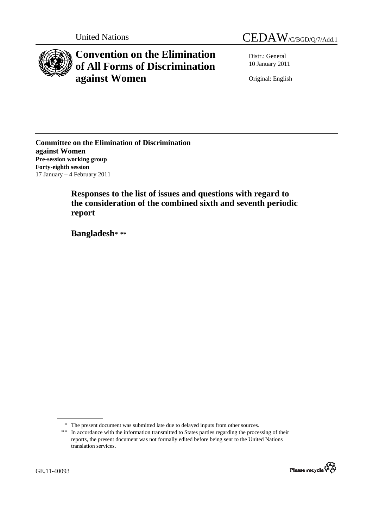United Nations CEDAW/C/BGD/Q/7/Add.1



# **Convention on the Elimination of All Forms of Discrimination against Women**

Distr.: General 10 January 2011

Original: English

**Committee on the Elimination of Discrimination against Women Pre-session working group Forty-eighth session**  17 January – 4 February 2011

> **Responses to the list of issues and questions with regard to the consideration of the combined sixth and seventh periodic report**

 **Bangladesh[\\*](#page-0-0) [\\*\\*](#page-0-1)**

<span id="page-0-1"></span><span id="page-0-0"></span><sup>\*\*</sup> In accordance with the information transmitted to States parties regarding the processing of their reports, the present document was not formally edited before being sent to the United Nations translation services.



<sup>\*</sup> The present document was submitted late due to delayed inputs from other sources.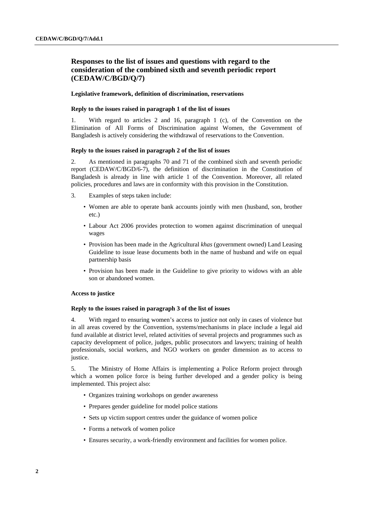## **Responses to the list of issues and questions with regard to the consideration of the combined sixth and seventh periodic report (CEDAW/C/BGD/Q/7)**

## **Legislative framework, definition of discrimination, reservations**

#### **Reply to the issues raised in paragraph 1 of the list of issues**

1. With regard to articles 2 and 16, paragraph 1 (c), of the Convention on the Elimination of All Forms of Discrimination against Women, the Government of Bangladesh is actively considering the withdrawal of reservations to the Convention.

## **Reply to the issues raised in paragraph 2 of the list of issues**

2. As mentioned in paragraphs 70 and 71 of the combined sixth and seventh periodic report (CEDAW/C/BGD/6-7), the definition of discrimination in the Constitution of Bangladesh is already in line with article 1 of the Convention. Moreover, all related policies, procedures and laws are in conformity with this provision in the Constitution.

- 3. Examples of steps taken include:
	- Women are able to operate bank accounts jointly with men (husband, son, brother etc.)
	- Labour Act 2006 provides protection to women against discrimination of unequal wages
	- Provision has been made in the Agricultural *khas* (government owned) Land Leasing Guideline to issue lease documents both in the name of husband and wife on equal partnership basis
	- Provision has been made in the Guideline to give priority to widows with an able son or abandoned women.

## **Access to justice**

## **Reply to the issues raised in paragraph 3 of the list of issues**

4. With regard to ensuring women's access to justice not only in cases of violence but in all areas covered by the Convention, systems/mechanisms in place include a legal aid fund available at district level, related activities of several projects and programmes such as capacity development of police, judges, public prosecutors and lawyers; training of health professionals, social workers, and NGO workers on gender dimension as to access to justice.

5. The Ministry of Home Affairs is implementing a Police Reform project through which a women police force is being further developed and a gender policy is being implemented. This project also:

- Organizes training workshops on gender awareness
- Prepares gender guideline for model police stations
- Sets up victim support centres under the guidance of women police
- Forms a network of women police
- Ensures security, a work-friendly environment and facilities for women police.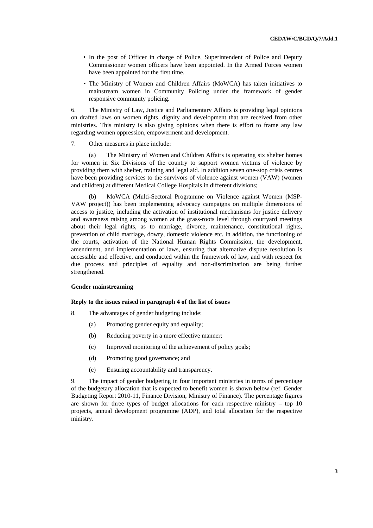- In the post of Officer in charge of Police, Superintendent of Police and Deputy Commissioner women officers have been appointed. In the Armed Forces women have been appointed for the first time.
- The Ministry of Women and Children Affairs (MoWCA) has taken initiatives to mainstream women in Community Policing under the framework of gender responsive community policing.

6. The Ministry of Law, Justice and Parliamentary Affairs is providing legal opinions on drafted laws on women rights, dignity and development that are received from other ministries. This ministry is also giving opinions when there is effort to frame any law regarding women oppression, empowerment and development.

7. Other measures in place include:

(a) The Ministry of Women and Children Affairs is operating six shelter homes for women in Six Divisions of the country to support women victims of violence by providing them with shelter, training and legal aid. In addition seven one-stop crisis centres have been providing services to the survivors of violence against women (VAW) (women and children) at different Medical College Hospitals in different divisions;

(b) MoWCA (Multi-Sectoral Programme on Violence against Women (MSP-VAW project)) has been implementing advocacy campaigns on multiple dimensions of access to justice, including the activation of institutional mechanisms for justice delivery and awareness raising among women at the grass-roots level through courtyard meetings about their legal rights, as to marriage, divorce, maintenance, constitutional rights, prevention of child marriage, dowry, domestic violence etc. In addition, the functioning of the courts, activation of the National Human Rights Commission, the development, amendment, and implementation of laws, ensuring that alternative dispute resolution is accessible and effective, and conducted within the framework of law, and with respect for due process and principles of equality and non-discrimination are being further strengthened.

## **Gender mainstreaming**

#### **Reply to the issues raised in paragraph 4 of the list of issues**

- 8. The advantages of gender budgeting include:
	- (a) Promoting gender equity and equality;
	- (b) Reducing poverty in a more effective manner;
	- (c) Improved monitoring of the achievement of policy goals;
	- (d) Promoting good governance; and
	- (e) Ensuring accountability and transparency.

9. The impact of gender budgeting in four important ministries in terms of percentage of the budgetary allocation that is expected to benefit women is shown below (ref. Gender Budgeting Report 2010-11, Finance Division, Ministry of Finance). The percentage figures are shown for three types of budget allocations for each respective ministry  $-$  top 10 projects, annual development programme (ADP), and total allocation for the respective ministry.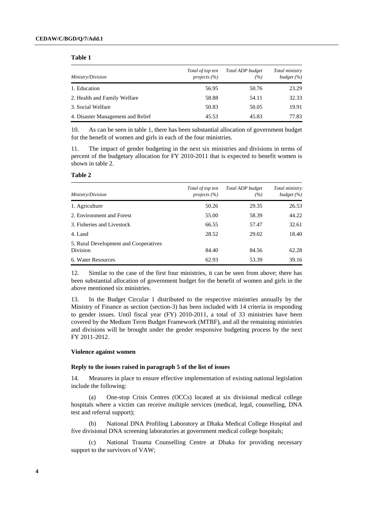**Table 1** 

| Ministry/Division                 | Total of top ten<br>projects $(\% )$ | Total ADP budget<br>(%) | Total ministry<br>budget $(\% )$ |  |  |
|-----------------------------------|--------------------------------------|-------------------------|----------------------------------|--|--|
| 1. Education                      | 56.95                                | 50.76                   | 23.29                            |  |  |
| 2. Health and Family Welfare      | 58.88                                | 54.11                   | 32.33                            |  |  |
| 3. Social Welfare                 | 50.83                                | 50.05                   | 19.91                            |  |  |
| 4. Disaster Management and Relief | 45.53                                | 45.83                   | 77.83                            |  |  |

10. As can be seen in table 1, there has been substantial allocation of government budget for the benefit of women and girls in each of the four ministries.

11. The impact of gender budgeting in the next six ministries and divisions in terms of percent of the budgetary allocation for FY 2010-2011 that is expected to benefit women is shown in table 2.

#### **Table 2**

| Ministry/Division                                 | Total of top ten<br>projects $(\% )$ | Total ADP budget<br>(%) | Total ministry<br>budget $(\% )$ |
|---------------------------------------------------|--------------------------------------|-------------------------|----------------------------------|
| 1. Agriculture                                    | 50.26                                | 29.35                   | 26.53                            |
| 2. Environment and Forest                         | 55.00                                | 58.39                   | 44.22                            |
| 3. Fisheries and Livestock                        | 66.55                                | 57.47                   | 32.61                            |
| 4. Land                                           | 28.52                                | 29.02                   | 18.40                            |
| 5. Rural Development and Cooperatives<br>Division | 84.40                                | 84.56                   | 62.28                            |
| 6. Water Resources                                | 62.93                                | 53.39                   | 39.16                            |

12. Similar to the case of the first four ministries, it can be seen from above; there has been substantial allocation of government budget for the benefit of women and girls in the above mentioned six ministries.

13. In the Budget Circular 1 distributed to the respective ministries annually by the Ministry of Finance as section (section-3) has been included with 14 criteria in responding to gender issues. Until fiscal year (FY) 2010-2011, a total of 33 ministries have been covered by the Medium Term Budget Framework (MTBF), and all the remaining ministries and divisions will be brought under the gender responsive budgeting process by the next FY 2011-2012.

#### **Violence against women**

#### **Reply to the issues raised in paragraph 5 of the list of issues**

14. Measures in place to ensure effective implementation of existing national legislation include the following:

(a) One-stop Crisis Centres (OCCs) located at six divisional medical college hospitals where a victim can receive multiple services (medical, legal, counselling, DNA test and referral support);

(b) National DNA Profiling Laboratory at Dhaka Medical College Hospital and five divisional DNA screening laboratories at government medical college hospitals;

(c) National Trauma Counselling Centre at Dhaka for providing necessary support to the survivors of VAW;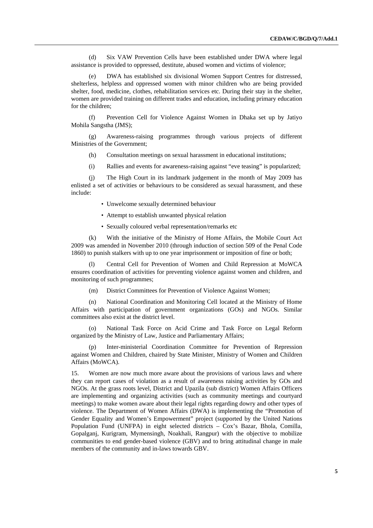(d) Six VAW Prevention Cells have been established under DWA where legal assistance is provided to oppressed, destitute, abused women and victims of violence;

(e) DWA has established six divisional Women Support Centres for distressed, shelterless, helpless and oppressed women with minor children who are being provided shelter, food, medicine, clothes, rehabilitation services etc. During their stay in the shelter, women are provided training on different trades and education, including primary education for the children;

(f) Prevention Cell for Violence Against Women in Dhaka set up by Jatiyo Mohila Sangstha (JMS);

(g) Awareness-raising programmes through various projects of different Ministries of the Government;

- (h) Consultation meetings on sexual harassment in educational institutions;
- (i) Rallies and events for awareness-raising against "eve teasing" is popularized;

(j) The High Court in its landmark judgement in the month of May 2009 has enlisted a set of activities or behaviours to be considered as sexual harassment, and these include:

- Unwelcome sexually determined behaviour
- Attempt to establish unwanted physical relation
- Sexually coloured verbal representation/remarks etc

(k) With the initiative of the Ministry of Home Affairs, the Mobile Court Act 2009 was amended in November 2010 (through induction of section 509 of the Penal Code 1860) to punish stalkers with up to one year imprisonment or imposition of fine or both;

(l) Central Cell for Prevention of Women and Child Repression at MoWCA ensures coordination of activities for preventing violence against women and children, and monitoring of such programmes;

(m) District Committees for Prevention of Violence Against Women;

(n) National Coordination and Monitoring Cell located at the Ministry of Home Affairs with participation of government organizations (GOs) and NGOs. Similar committees also exist at the district level.

(o) National Task Force on Acid Crime and Task Force on Legal Reform organized by the Ministry of Law, Justice and Parliamentary Affairs;

Inter-ministerial Coordination Committee for Prevention of Repression against Women and Children, chaired by State Minister, Ministry of Women and Children Affairs (MoWCA).

15. Women are now much more aware about the provisions of various laws and where they can report cases of violation as a result of awareness raising activities by GOs and NGOs. At the grass roots level, District and Upazila (sub district) Women Affairs Officers are implementing and organizing activities (such as community meetings and courtyard meetings) to make women aware about their legal rights regarding dowry and other types of violence. The Department of Women Affairs (DWA) is implementing the "Promotion of Gender Equality and Women's Empowerment" project (supported by the United Nations Population Fund (UNFPA) in eight selected districts – Cox's Bazar, Bhola, Comilla, Gopalganj, Kurigram, Mymensingh, Noakhali, Rangpur) with the objective to mobilize communities to end gender-based violence (GBV) and to bring attitudinal change in male members of the community and in-laws towards GBV.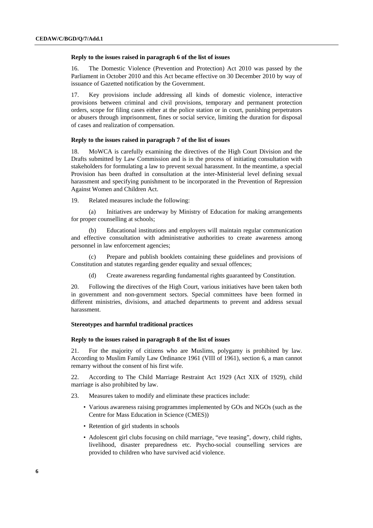#### **Reply to the issues raised in paragraph 6 of the list of issues**

16. The Domestic Violence (Prevention and Protection) Act 2010 was passed by the Parliament in October 2010 and this Act became effective on 30 December 2010 by way of issuance of Gazetted notification by the Government.

17. Key provisions include addressing all kinds of domestic violence, interactive provisions between criminal and civil provisions, temporary and permanent protection orders, scope for filing cases either at the police station or in court, punishing perpetrators or abusers through imprisonment, fines or social service, limiting the duration for disposal of cases and realization of compensation.

## **Reply to the issues raised in paragraph 7 of the list of issues**

18. MoWCA is carefully examining the directives of the High Court Division and the Drafts submitted by Law Commission and is in the process of initiating consultation with stakeholders for formulating a law to prevent sexual harassment. In the meantime, a special Provision has been drafted in consultation at the inter-Ministerial level defining sexual harassment and specifying punishment to be incorporated in the Prevention of Repression Against Women and Children Act.

19. Related measures include the following:

(a) Initiatives are underway by Ministry of Education for making arrangements for proper counselling at schools;

(b) Educational institutions and employers will maintain regular communication and effective consultation with administrative authorities to create awareness among personnel in law enforcement agencies;

(c) Prepare and publish booklets containing these guidelines and provisions of Constitution and statutes regarding gender equality and sexual offences;

(d) Create awareness regarding fundamental rights guaranteed by Constitution.

20. Following the directives of the High Court, various initiatives have been taken both in government and non-government sectors. Special committees have been formed in different ministries, divisions, and attached departments to prevent and address sexual harassment.

#### **Stereotypes and harmful traditional practices**

#### **Reply to the issues raised in paragraph 8 of the list of issues**

21. For the majority of citizens who are Muslims, polygamy is prohibited by law. According to Muslim Family Law Ordinance 1961 (VIII of 1961), section 6, a man cannot remarry without the consent of his first wife.

22. According to The Child Marriage Restraint Act 1929 (Act XIX of 1929), child marriage is also prohibited by law.

- 23. Measures taken to modify and eliminate these practices include:
	- Various awareness raising programmes implemented by GOs and NGOs (such as the Centre for Mass Education in Science (CMES))
	- Retention of girl students in schools
	- Adolescent girl clubs focusing on child marriage, "eve teasing", dowry, child rights, livelihood, disaster preparedness etc. Psycho-social counselling services are provided to children who have survived acid violence.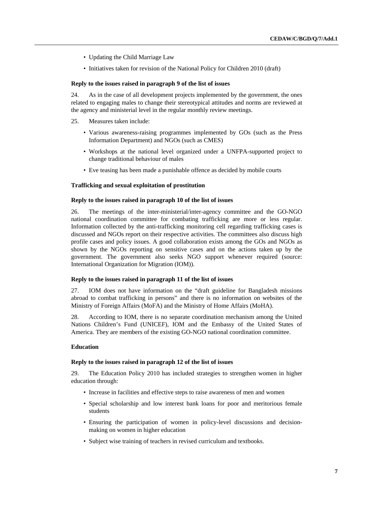- Updating the Child Marriage Law
- Initiatives taken for revision of the National Policy for Children 2010 (draft)

## **Reply to the issues raised in paragraph 9 of the list of issues**

24. As in the case of all development projects implemented by the government, the ones related to engaging males to change their stereotypical attitudes and norms are reviewed at the agency and ministerial level in the regular monthly review meetings.

- 25. Measures taken include:
	- Various awareness-raising programmes implemented by GOs (such as the Press Information Department) and NGOs (such as CMES)
	- Workshops at the national level organized under a UNFPA-supported project to change traditional behaviour of males
	- Eve teasing has been made a punishable offence as decided by mobile courts

## **Trafficking and sexual exploitation of prostitution**

## **Reply to the issues raised in paragraph 10 of the list of issues**

26. The meetings of the inter-ministerial/inter-agency committee and the GO-NGO national coordination committee for combating trafficking are more or less regular. Information collected by the anti-trafficking monitoring cell regarding trafficking cases is discussed and NGOs report on their respective activities. The committees also discuss high profile cases and policy issues. A good collaboration exists among the GOs and NGOs as shown by the NGOs reporting on sensitive cases and on the actions taken up by the government. The government also seeks NGO support whenever required (source: International Organization for Migration (IOM)).

## **Reply to the issues raised in paragraph 11 of the list of issues**

27. IOM does not have information on the "draft guideline for Bangladesh missions abroad to combat trafficking in persons" and there is no information on websites of the Ministry of Foreign Affairs (MoFA) and the Ministry of Home Affairs (MoHA).

28. According to IOM, there is no separate coordination mechanism among the United Nations Children's Fund (UNICEF), IOM and the Embassy of the United States of America. They are members of the existing GO-NGO national coordination committee.

## **Education**

## **Reply to the issues raised in paragraph 12 of the list of issues**

29. The Education Policy 2010 has included strategies to strengthen women in higher education through:

- Increase in facilities and effective steps to raise awareness of men and women
- Special scholarship and low interest bank loans for poor and meritorious female students
- Ensuring the participation of women in policy-level discussions and decisionmaking on women in higher education
- Subject wise training of teachers in revised curriculum and textbooks.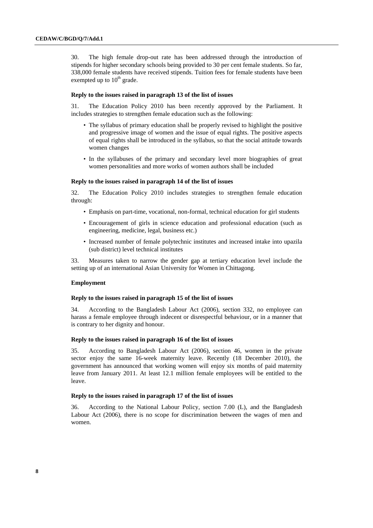30. The high female drop-out rate has been addressed through the introduction of stipends for higher secondary schools being provided to 30 per cent female students. So far, 338,000 female students have received stipends. Tuition fees for female students have been exempted up to  $10^{th}$  grade.

#### **Reply to the issues raised in paragraph 13 of the list of issues**

31. The Education Policy 2010 has been recently approved by the Parliament. It includes strategies to strengthen female education such as the following:

- The syllabus of primary education shall be properly revised to highlight the positive and progressive image of women and the issue of equal rights. The positive aspects of equal rights shall be introduced in the syllabus, so that the social attitude towards women changes
- In the syllabuses of the primary and secondary level more biographies of great women personalities and more works of women authors shall be included

#### **Reply to the issues raised in paragraph 14 of the list of issues**

32. The Education Policy 2010 includes strategies to strengthen female education through:

- Emphasis on part-time, vocational, non-formal, technical education for girl students
- Encouragement of girls in science education and professional education (such as engineering, medicine, legal, business etc.)
- Increased number of female polytechnic institutes and increased intake into upazila (sub district) level technical institutes

33. Measures taken to narrow the gender gap at tertiary education level include the setting up of an international Asian University for Women in Chittagong.

#### **Employment**

## **Reply to the issues raised in paragraph 15 of the list of issues**

34. According to the Bangladesh Labour Act (2006), section 332, no employee can harass a female employee through indecent or disrespectful behaviour, or in a manner that is contrary to her dignity and honour.

#### **Reply to the issues raised in paragraph 16 of the list of issues**

35. According to Bangladesh Labour Act (2006), section 46, women in the private sector enjoy the same 16-week maternity leave. Recently (18 December 2010), the government has announced that working women will enjoy six months of paid maternity leave from January 2011. At least 12.1 million female employees will be entitled to the leave.

#### **Reply to the issues raised in paragraph 17 of the list of issues**

36. According to the National Labour Policy, section 7.00 (L), and the Bangladesh Labour Act (2006), there is no scope for discrimination between the wages of men and women.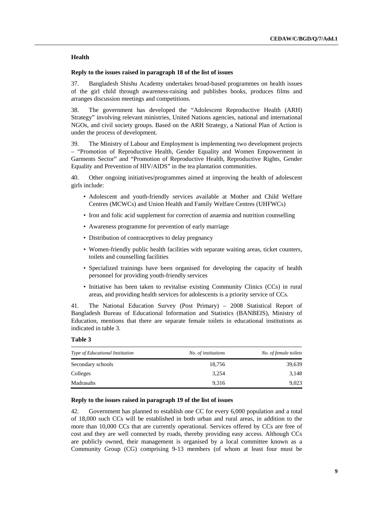## **Health**

## **Reply to the issues raised in paragraph 18 of the list of issues**

37. Bangladesh Shishu Academy undertakes broad-based programmes on health issues of the girl child through awareness-raising and publishes books, produces films and arranges discussion meetings and competitions.

38. The government has developed the "Adolescent Reproductive Health (ARH) Strategy" involving relevant ministries, United Nations agencies, national and international NGOs, and civil society groups. Based on the ARH Strategy, a National Plan of Action is under the process of development.

39. The Ministry of Labour and Employment is implementing two development projects – "Promotion of Reproductive Health, Gender Equality and Women Empowerment in Garments Sector" and "Promotion of Reproductive Health, Reproductive Rights, Gender Equality and Prevention of HIV/AIDS" in the tea plantation communities.

40. Other ongoing initiatives/programmes aimed at improving the health of adolescent girls include:

- Adolescent and youth-friendly services available at Mother and Child Welfare Centres (MCWCs) and Union Health and Family Welfare Centres (UHFWCs)
- Iron and folic acid supplement for correction of anaemia and nutrition counselling
- Awareness programme for prevention of early marriage
- Distribution of contraceptives to delay pregnancy
- Women-friendly public health facilities with separate waiting areas, ticket counters, toilets and counselling facilities
- Specialized trainings have been organised for developing the capacity of health personnel for providing youth-friendly services
- Initiative has been taken to revitalise existing Community Clinics (CCs) in rural areas, and providing health services for adolescents is a priority service of CCs.

41. The National Education Survey (Post Primary) – 2008 Statistical Report of Bangladesh Bureau of Educational Information and Statistics (BANBEIS), Ministry of Education, mentions that there are separate female toilets in educational institutions as indicated in table 3.

## **Table 3**

| No. of institutions | No. of female toilets |
|---------------------|-----------------------|
| 18,756              | 39,639                |
| 3.254               | 3,148                 |
| 9.316               | 9,023                 |
|                     |                       |

## **Reply to the issues raised in paragraph 19 of the list of issues**

42. Government has planned to establish one CC for every 6,000 population and a total of 18,000 such CCs will be established in both urban and rural areas, in addition to the more than 10,000 CCs that are currently operational. Services offered by CCs are free of cost and they are well connected by roads, thereby providing easy access. Although CCs are publicly owned, their management is organised by a local committee known as a Community Group (CG) comprising 9-13 members (of whom at least four must be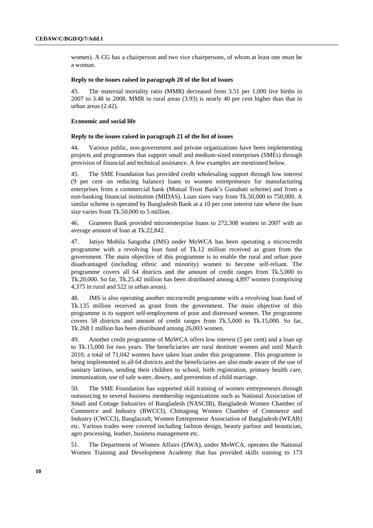women). A CG has a chairperson and two vice chairpersons, of whom at least one must be a woman.

## **Reply to the issues raised in paragraph 20 of the list of issues**

43. The maternal mortality ratio (MMR) decreased from 3.51 per 1,000 live births in 2007 to 3.48 in 2008. MMR in rural areas (3.93) is nearly 40 per cent higher than that in urban areas (2.42).

#### **Economic and social life**

## **Reply to the issues raised in paragraph 21 of the list of issues**

44. Various public, non-government and private organizations have been implementing projects and programmes that support small and medium-sized enterprises (SMEs) through provision of financial and technical assistance. A few examples are mentioned below.

45. The SME Foundation has provided credit wholesaling support through low interest (9 per cent on reducing balance) loans to women entrepreneurs for manufacturing enterprises from a commercial bank (Mutual Trust Bank's Gunabati scheme) and from a non-banking financial institution (MIDAS). Loan sizes vary from Tk.50,000 to 750,000. A similar scheme is operated by Bangladesh Bank at a 10 per cent interest rate where the loan size varies from Tk.50,000 to 5 million.

46. Grameen Bank provided microenterprise loans to 272,308 women in 2007 with an average amount of loan at Tk.22,842.

47. Jatiyo Mohila Sangstha (JMS) under MoWCA has been operating a microcredit programme with a revolving loan fund of Tk.12 million received as grant from the government. The main objective of this programme is to enable the rural and urban poor disadvantaged (including ethnic and minority) women to become self-reliant. The programme covers all 64 districts and the amount of credit ranges from Tk.5,000 to Tk.20,000. So far, Tk.25.42 million has been distributed among 4,897 women (comprising 4,375 in rural and 522 in urban areas).

48. JMS is also operating another microcredit programme with a revolving loan fund of Tk.135 million received as grant from the government. The main objective of this programme is to support self-employment of poor and distressed women. The programme covers 58 districts and amount of credit ranges from Tk.5,000 to Tk.15,000. So far, Tk.268.1 million has been distributed among 26,003 women.

49. Another credit programme of MoWCA offers low interest (5 per cent) and a loan up to Tk.15,000 for two years. The beneficiaries are rural destitute women and until March 2010, a total of 71,042 women have taken loan under this programme. This programme is being implemented in all 64 districts and the beneficiaries are also made aware of the use of sanitary latrines, sending their children to school, birth registration, primary health care, immunization, use of safe water, dowry, and prevention of child marriage.

50. The SME Foundation has supported skill training of women entrepreneurs through outsourcing to several business membership organizations such as National Association of Small and Cottage Industries of Bangladesh (NASCIB), Bangladesh Women Chamber of Commerce and Industry (BWCCI), Chittagong Women Chamber of Commerce and Industry (CWCCI), Banglacraft, Women Entrepreneur Association of Bangladesh (WEAB) etc. Various trades were covered including fashion design, beauty parlour and beautician, agro processing, leather, business management etc.

51. The Department of Women Affairs (DWA), under MoWCA, operates the National Women Training and Development Academy that has provided skills training to 173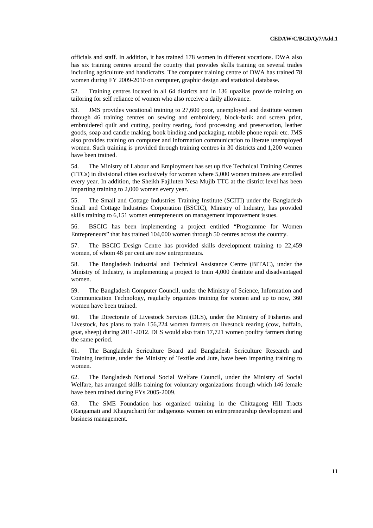officials and staff. In addition, it has trained 178 women in different vocations. DWA also has six training centres around the country that provides skills training on several trades including agriculture and handicrafts. The computer training centre of DWA has trained 78 women during FY 2009-2010 on computer, graphic design and statistical database.

52. Training centres located in all 64 districts and in 136 upazilas provide training on tailoring for self reliance of women who also receive a daily allowance.

53. JMS provides vocational training to 27,600 poor, unemployed and destitute women through 46 training centres on sewing and embroidery, block-batik and screen print, embroidered quilt and cutting, poultry rearing, food processing and preservation, leather goods, soap and candle making, book binding and packaging, mobile phone repair etc. JMS also provides training on computer and information communication to literate unemployed women. Such training is provided through training centres in 30 districts and 1,200 women have been trained.

54. The Ministry of Labour and Employment has set up five Technical Training Centres (TTCs) in divisional cities exclusively for women where 5,000 women trainees are enrolled every year. In addition, the Sheikh Fajiluten Nesa Mujib TTC at the district level has been imparting training to 2,000 women every year.

55. The Small and Cottage Industries Training Institute (SCITI) under the Bangladesh Small and Cottage Industries Corporation (BSCIC), Ministry of Industry, has provided skills training to 6,151 women entrepreneurs on management improvement issues.

56. BSCIC has been implementing a project entitled "Programme for Women Entrepreneurs" that has trained 104,000 women through 50 centres across the country.

57. The BSCIC Design Centre has provided skills development training to 22,459 women, of whom 48 per cent are now entrepreneurs.

58. The Bangladesh Industrial and Technical Assistance Centre (BITAC), under the Ministry of Industry, is implementing a project to train 4,000 destitute and disadvantaged women.

59. The Bangladesh Computer Council, under the Ministry of Science, Information and Communication Technology, regularly organizes training for women and up to now, 360 women have been trained.

60. The Directorate of Livestock Services (DLS), under the Ministry of Fisheries and Livestock, has plans to train 156,224 women farmers on livestock rearing (cow, buffalo, goat, sheep) during 2011-2012. DLS would also train 17,721 women poultry farmers during the same period.

61. The Bangladesh Sericulture Board and Bangladesh Sericulture Research and Training Institute, under the Ministry of Textile and Jute, have been imparting training to women.

62. The Bangladesh National Social Welfare Council, under the Ministry of Social Welfare, has arranged skills training for voluntary organizations through which 146 female have been trained during FYs 2005-2009.

63. The SME Foundation has organized training in the Chittagong Hill Tracts (Rangamati and Khagrachari) for indigenous women on entrepreneurship development and business management.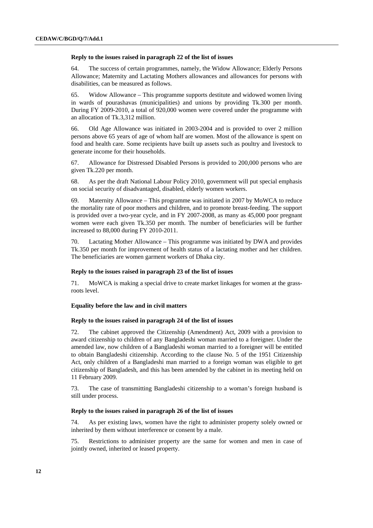#### **Reply to the issues raised in paragraph 22 of the list of issues**

64. The success of certain programmes, namely, the Widow Allowance; Elderly Persons Allowance; Maternity and Lactating Mothers allowances and allowances for persons with disabilities, can be measured as follows.

65. Widow Allowance – This programme supports destitute and widowed women living in wards of pourashavas (municipalities) and unions by providing Tk.300 per month. During FY 2009-2010, a total of 920,000 women were covered under the programme with an allocation of Tk.3,312 million.

66. Old Age Allowance was initiated in 2003-2004 and is provided to over 2 million persons above 65 years of age of whom half are women. Most of the allowance is spent on food and health care. Some recipients have built up assets such as poultry and livestock to generate income for their households.

67. Allowance for Distressed Disabled Persons is provided to 200,000 persons who are given Tk.220 per month.

68. As per the draft National Labour Policy 2010, government will put special emphasis on social security of disadvantaged, disabled, elderly women workers.

69. Maternity Allowance – This programme was initiated in 2007 by MoWCA to reduce the mortality rate of poor mothers and children, and to promote breast-feeding. The support is provided over a two-year cycle, and in FY 2007-2008, as many as 45,000 poor pregnant women were each given Tk.350 per month. The number of beneficiaries will be further increased to 88,000 during FY 2010-2011.

70. Lactating Mother Allowance – This programme was initiated by DWA and provides Tk.350 per month for improvement of health status of a lactating mother and her children. The beneficiaries are women garment workers of Dhaka city.

## **Reply to the issues raised in paragraph 23 of the list of issues**

71. MoWCA is making a special drive to create market linkages for women at the grassroots level.

## **Equality before the law and in civil matters**

## **Reply to the issues raised in paragraph 24 of the list of issues**

72. The cabinet approved the Citizenship (Amendment) Act, 2009 with a provision to award citizenship to children of any Bangladeshi woman married to a foreigner. Under the amended law, now children of a Bangladeshi woman married to a foreigner will be entitled to obtain Bangladeshi citizenship. According to the clause No. 5 of the 1951 Citizenship Act, only children of a Bangladeshi man married to a foreign woman was eligible to get citizenship of Bangladesh, and this has been amended by the cabinet in its meeting held on 11 February 2009.

73. The case of transmitting Bangladeshi citizenship to a woman's foreign husband is still under process.

## **Reply to the issues raised in paragraph 26 of the list of issues**

74. As per existing laws, women have the right to administer property solely owned or inherited by them without interference or consent by a male.

75. Restrictions to administer property are the same for women and men in case of jointly owned, inherited or leased property.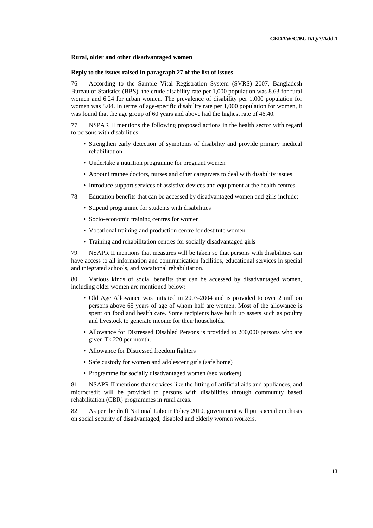#### **Rural, older and other disadvantaged women**

## **Reply to the issues raised in paragraph 27 of the list of issues**

76. According to the Sample Vital Registration System (SVRS) 2007, Bangladesh Bureau of Statistics (BBS), the crude disability rate per 1,000 population was 8.63 for rural women and 6.24 for urban women. The prevalence of disability per 1,000 population for women was 8.04. In terms of age-specific disability rate per 1,000 population for women, it was found that the age group of 60 years and above had the highest rate of 46.40.

77. NSPAR II mentions the following proposed actions in the health sector with regard to persons with disabilities:

- Strengthen early detection of symptoms of disability and provide primary medical rehabilitation
- Undertake a nutrition programme for pregnant women
- Appoint trainee doctors, nurses and other caregivers to deal with disability issues
- Introduce support services of assistive devices and equipment at the health centres
- 78. Education benefits that can be accessed by disadvantaged women and girls include:
	- Stipend programme for students with disabilities
	- Socio-economic training centres for women
	- Vocational training and production centre for destitute women
	- Training and rehabilitation centres for socially disadvantaged girls

79. NSAPR II mentions that measures will be taken so that persons with disabilities can have access to all information and communication facilities, educational services in special and integrated schools, and vocational rehabilitation.

80. Various kinds of social benefits that can be accessed by disadvantaged women, including older women are mentioned below:

- Old Age Allowance was initiated in 2003-2004 and is provided to over 2 million persons above 65 years of age of whom half are women. Most of the allowance is spent on food and health care. Some recipients have built up assets such as poultry and livestock to generate income for their households.
- Allowance for Distressed Disabled Persons is provided to 200,000 persons who are given Tk.220 per month.
- Allowance for Distressed freedom fighters
- Safe custody for women and adolescent girls (safe home)
- Programme for socially disadvantaged women (sex workers)

81. NSAPR II mentions that services like the fitting of artificial aids and appliances, and microcredit will be provided to persons with disabilities through community based rehabilitation (CBR) programmes in rural areas.

82. As per the draft National Labour Policy 2010, government will put special emphasis on social security of disadvantaged, disabled and elderly women workers.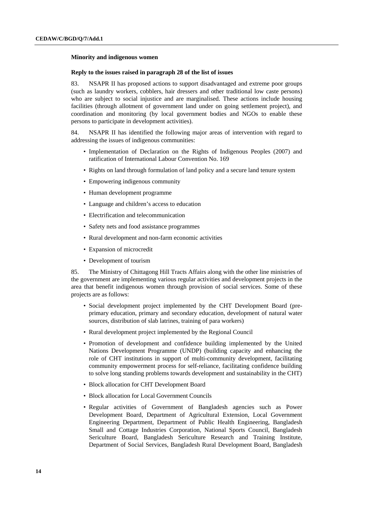#### **Minority and indigenous women**

## **Reply to the issues raised in paragraph 28 of the list of issues**

83. NSAPR II has proposed actions to support disadvantaged and extreme poor groups (such as laundry workers, cobblers, hair dressers and other traditional low caste persons) who are subject to social injustice and are marginalised. These actions include housing facilities (through allotment of government land under on going settlement project), and coordination and monitoring (by local government bodies and NGOs to enable these persons to participate in development activities).

84. NSAPR II has identified the following major areas of intervention with regard to addressing the issues of indigenous communities:

- Implementation of Declaration on the Rights of Indigenous Peoples (2007) and ratification of International Labour Convention No. 169
- Rights on land through formulation of land policy and a secure land tenure system
- Empowering indigenous community
- Human development programme
- Language and children's access to education
- Electrification and telecommunication
- Safety nets and food assistance programmes
- Rural development and non-farm economic activities
- Expansion of microcredit
- Development of tourism

85. The Ministry of Chittagong Hill Tracts Affairs along with the other line ministries of the government are implementing various regular activities and development projects in the area that benefit indigenous women through provision of social services. Some of these projects are as follows:

- Social development project implemented by the CHT Development Board (preprimary education, primary and secondary education, development of natural water sources, distribution of slab latrines, training of para workers)
- Rural development project implemented by the Regional Council
- Promotion of development and confidence building implemented by the United Nations Development Programme (UNDP) (building capacity and enhancing the role of CHT institutions in support of multi-community development, facilitating community empowerment process for self-reliance, facilitating confidence building to solve long standing problems towards development and sustainability in the CHT)
- Block allocation for CHT Development Board
- Block allocation for Local Government Councils
- Regular activities of Government of Bangladesh agencies such as Power Development Board, Department of Agricultural Extension, Local Government Engineering Department, Department of Public Health Engineering, Bangladesh Small and Cottage Industries Corporation, National Sports Council, Bangladesh Sericulture Board, Bangladesh Sericulture Research and Training Institute, Department of Social Services, Bangladesh Rural Development Board, Bangladesh